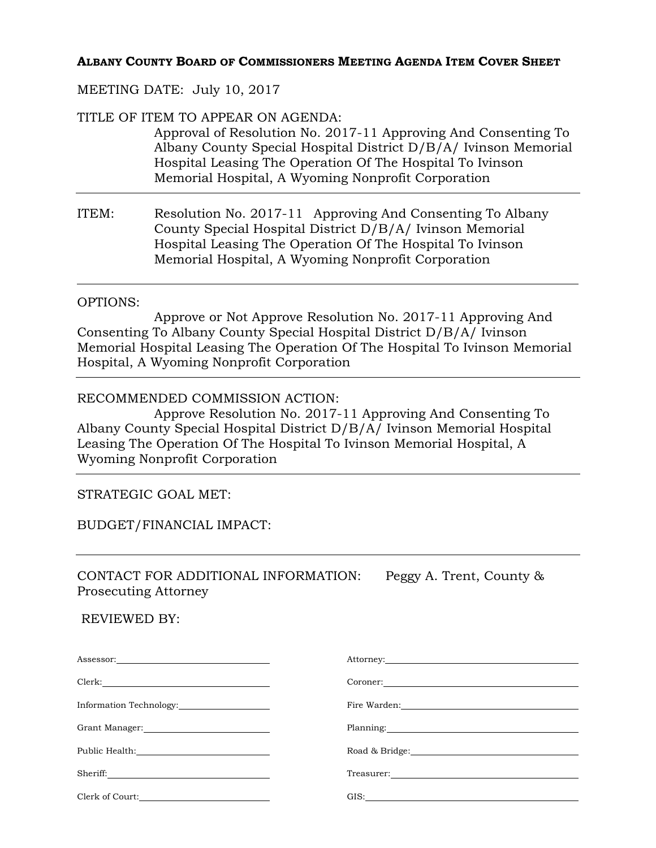## **ALBANY COUNTY BOARD OF COMMISSIONERS MEETING AGENDA ITEM COVER SHEET**

### MEETING DATE: July 10, 2017

TITLE OF ITEM TO APPEAR ON AGENDA:

Approval of Resolution No. 2017-11 Approving And Consenting To Albany County Special Hospital District D/B/A/ Ivinson Memorial Hospital Leasing The Operation Of The Hospital To Ivinson Memorial Hospital, A Wyoming Nonprofit Corporation

ITEM: Resolution No. 2017-11 Approving And Consenting To Albany County Special Hospital District D/B/A/ Ivinson Memorial Hospital Leasing The Operation Of The Hospital To Ivinson Memorial Hospital, A Wyoming Nonprofit Corporation

#### OPTIONS:

 Approve or Not Approve Resolution No. 2017-11 Approving And Consenting To Albany County Special Hospital District D/B/A/ Ivinson Memorial Hospital Leasing The Operation Of The Hospital To Ivinson Memorial Hospital, A Wyoming Nonprofit Corporation

### RECOMMENDED COMMISSION ACTION:

 Approve Resolution No. 2017-11 Approving And Consenting To Albany County Special Hospital District D/B/A/ Ivinson Memorial Hospital Leasing The Operation Of The Hospital To Ivinson Memorial Hospital, A Wyoming Nonprofit Corporation

## STRATEGIC GOAL MET:

### BUDGET/FINANCIAL IMPACT:

CONTACT FOR ADDITIONAL INFORMATION: Peggy A. Trent, County & Prosecuting Attorney

#### REVIEWED BY:

| $\textbf{Assessor:}\underline{\hspace{2.5cm}} \underbrace{\hspace{2.5cm}}$ |                                                                                                                 |
|----------------------------------------------------------------------------|-----------------------------------------------------------------------------------------------------------------|
|                                                                            |                                                                                                                 |
| Information Technology:                                                    | Fire Warden: New York 1988                                                                                      |
|                                                                            | Planning: 2000 and 2000 and 2000 and 2000 and 2000 and 2000 and 2000 and 2000 and 2000 and 2000 and 2000 and 20 |
|                                                                            | Road & Bridge:                                                                                                  |
|                                                                            |                                                                                                                 |
| Clerk of Court:                                                            | GIS:                                                                                                            |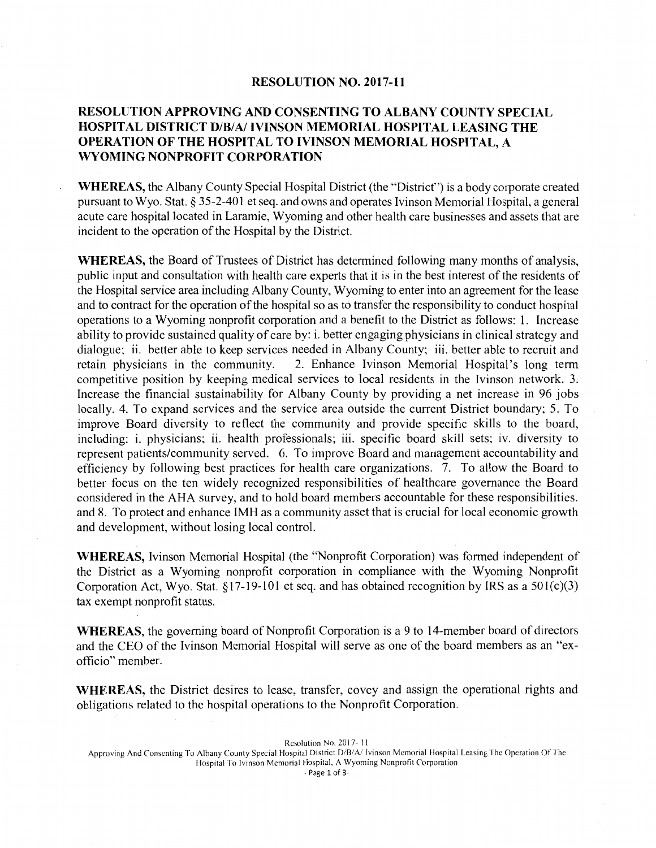#### **RESOLUTION NO. 2017-11**

### **RESOLUTION APPROVING AND CONSENTING TO ALBANY COUNTY SPECIAL HOSPITAL DISTRICT D/B/A/ !VINSON MEMORIAL HOSPITAL LEASING THE OPERATION OF THE HOSPITAL TO IVINSON MEMORIAL HOSPITAL, A WYOMING NONPROFIT CORPORATION**

**WHEREAS,** the Albany County Special Hospital District (the "District") is a body corporate created pursuant to Wyo. Stat. § 35-2-401 et seq. and owns and operates I vinson Memorial Hospital, a general acute care hospital located in Laramie, Wyoming and other health care businesses and assets that are incident to the operation of the Hospital by the District.

**WHEREAS,** the Board of Trustees of District has determined following many months of analysis, public input and consultation with health care experts that it is in the best interest of the residents of the Hospital service area including Albany County, Wyoming to enter into an agreement for the lease and to contract for the operation of the hospital so as to transfer the responsibility to conduct hospital operations to a Wyoming nonprofit corporation and a benefit to the District as follows: 1. Increase ability to provide sustained quality of care by: i. better engaging physicians in clinical strategy and dialogue; ii. better able to keep services needed in Albany County; iii. better able to recruit and retain physicians in the community. 2. Enhance Ivinson Memorial Hospital's long term competitive position by keeping medical services to local residents in the Ivinson network. 3. Increase the financial sustainability for Albany County by providing a net increase in 96 jobs locally. 4. To expand services and the service area outside the current District boundary; 5. To improve Board diversity to reflect the community and provide specific skills to the board, including: i. physicians; ii. health professionals; iii. specific board skill sets; iv. diversity to represent patients/community served. 6. To improve Board and management accountability and efficiency by following best practices for health care organizations. 7. To allow the Board to better focus on the ten widely recognized responsibilities of healthcare governance the Board considered in the AHA survey, and to hold board members accountable for these responsibilities. and 8. To protect and enhance IMH as a community asset that is crucial for local economic growth and development, without losing local control.

**WHEREAS,** !vinson Memorial Hospital (the "Nonprofit Corporation) was formed independent of the District as a Wyoming nonprofit corporation in compliance with the Wyoming Nonprofit Corporation Act, Wyo. Stat. §17-19-101 et seq. and has obtained recognition by IRS as a 50l(c)(3) tax exempt nonprofit status.

**WHEREAS,** the governing board of Nonprofit Corporation is a 9 to 14-member board of directors and the CEO of the Ivinson Memorial Hospital will serve as one of the board members as an "exofficio" member.

**WHEREAS,** the District desires to lease, transfer, covey and assign the operational rights and obligations related to the hospital operations to the Nonprofit Corporation.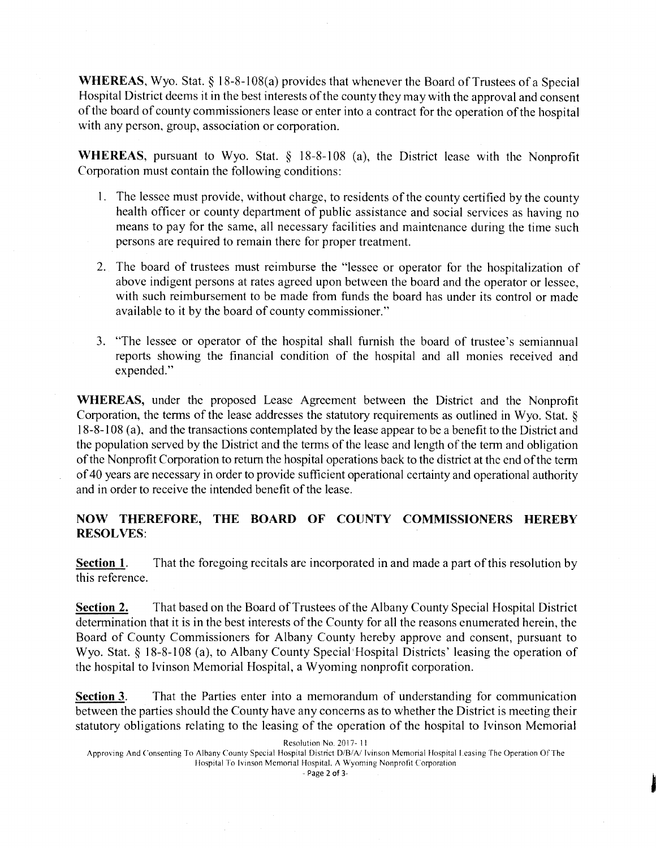**WHEREAS,** Wyo. Stat. § 18-8-108(a) provides that whenever the Board of Trustees of a Special Hospital District deems it in the best interests of the county they may with the approval and consent of the board of county commissioners lease or enter into a contract for the operation of the hospital with any person, group, association or corporation.

**WHEREAS,** pursuant to Wyo. Stat. § 18-8-108 (a), the District lease with the Nonprofit Corporation must contain the following conditions:

- I. The lessee must provide, without charge, to residents of the county certified by the county health officer or county department of public assistance and social services as having no means to pay for the same, all necessary facilities and maintenance during the time such persons are required to remain there for proper treatment.
- 2. The board of trustees must reimburse the "lessee or operator for the hospitalization of above indigent persons at rates agreed upon between the board and the operator or lessee, with such reimbursement to be made from funds the board has under its control or made available to it by the board of county commissioner."
- 3. "The lessee or operator of the hospital shall furnish the board of trustee's semiannual reports showing the financial condition of the hospital and all monies received and expended."

**WHEREAS,** under the proposed Lease Agreement between the District and the Nonprofit Corporation, the terms of the lease addresses the statutory requirements as outlined in Wyo. Stat. § 18-8-108 (a), and the transactions contemplated by the lease appear to be a benefit to the District and the population served by the District and the terms of the lease and length of the term and obligation of the Nonprofit Corporation to return the hospital operations back to the district at the end of the term of 40 years are necessary in order to provide sufficient operational certainty and operational authority and in order to receive the intended benefit of the lease.

## **NOW THEREFORE, THE BOARD OF COUNTY COMMISSIONERS HEREBY RESOLVES:**

**Section 1.** That the foregoing recitals are incorporated in and made a part of this resolution by this reference.

**Section 2.** That based on the Board of Trustees of the Albany County Special Hospital District determination that it is in the best interests of the County for all the reasons enumerated herein, the Board of County Commissioners for Albany County hereby approve and consent, pursuant to Wyo. Stat. § 18-8-108 (a), to Albany County Special Hospital Districts' leasing the operation of the hospital to Ivinson Memorial Hospital, a Wyoming nonprofit corporation.

**Section 3.** That the Parties enter into a memorandum of understanding for communication between the parties should the County have any concerns as to whether the District is meeting their statutory obligations relating to the leasing of the operation of the hospital to Ivinson Memorial

Resolution No. 2017- 11

-Page 2 of 3-

Approving And Consenting To Albany County Special Hospital District D/B/A/ Ivinson Memorial Hospital Leasing The Operation Of The Hospital To Ivinson Memorial Hospital. A Wyoming Nonprofit Corporation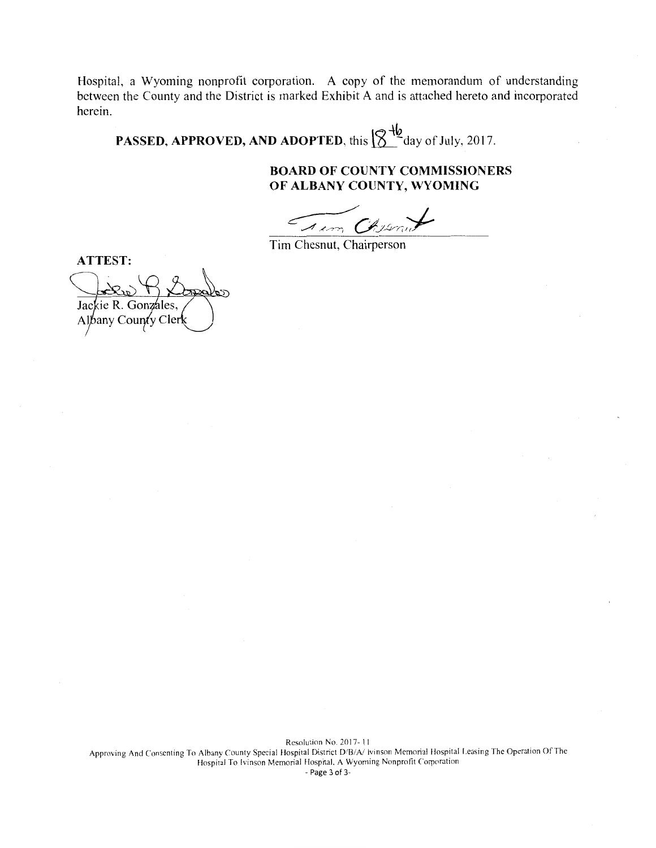Hospital, a Wyoming nonprofit corporation. A copy of the memorandum of understanding between the County and the District is marked Exhibit A and is attached hereto and incorporated herein.

**PASSED, APPROVED, AND ADOPTED, this**  $\left[\bigotimes^{+\!\!\!1\!\!\!2} \frac{1}{2}\right]$  **day of July, 2017.** 

### **BOARD OF COUNTY COMMISSIONERS OF ALBANY COUNTY, WYOMING**

Trom Chesnut

Tim Chesnut, Chairperson

**ATTEST:** 

Jackie R. Gonzales, Albany County Cler

Resolution No. 2017- II Approving And Consenting To Albany County Special Hospital District D/B/A/ Ivinson Memorial Hospital Leasing The Operation Of The Hospital To Ivinson Memorial Hospital, A Wyoming Nonprofit Corporation -Page 3 of 3-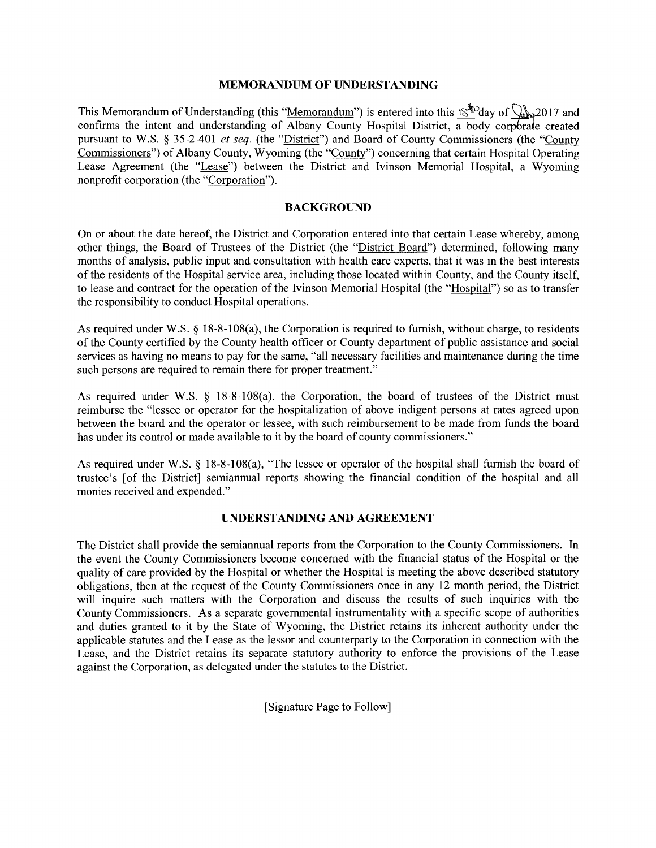#### **MEMORANDUM OF UNDERSTANDING**

This Memorandum of Understanding (this "Memorandum") is entered into this  $\mathbb{R}^{\mathcal{F}_2}$  day of  $\mathbb{Q}_2$ . 2017 and confirms the intent and understanding of Albany County Hospital District, a body corporate created pursuant to W.S. § 35-2-401 *et seq.* (the "District") and Board of County Commissioners (the "County Commissioners") of Albany County, Wyoming (the "County") concerning that certain Hospital Operating Lease Agreement (the "Lease") between the District and Ivinson Memorial Hospital, a Wyoming nonprofit corporation (the "Corporation").

#### **BACKGROUND**

On or about the date hereof, the District and Corporation entered into that certain Lease whereby, among other things, the Board of Trustees of the District (the "District Board") determined, following many months of analysis, public input and consultation with health care experts, that it was in the best interests of the residents of the Hospital service area, including those located within County, and the County itself, to lease and contract for the operation of the Ivinson Memorial Hospital (the "Hospital") so as to transfer the responsibility to conduct Hospital operations.

As required under W.S. § 18-8-108(a), the Corporation is required to furnish, without charge, to residents of the County certified by the County health officer or County department of public assistance and social services as having no means to pay for the same, "all necessary facilities and maintenance during the time such persons are required to remain there for proper treatment."

As required under W.S. § 18-8-108(a), the Corporation, the board of trustees of the District must reimburse the "lessee or operator for the hospitalization of above indigent persons at rates agreed upon between the board and the operator or lessee, with such reimbursement to be made from funds the board has under its control or made available to it by the board of county commissioners."

As required under W.S. § 18-8-108(a), "The lessee or operator of the hospital shall furnish the board of trustee's [of the District] semiannual reports showing the financial condition of the hospital and all monies received and expended."

#### **UNDERSTANDING AND AGREEMENT**

The District shall provide the semiannual reports from the Corporation to the County Commissioners. In the event the County Commissioners become concerned with the financial status of the Hospital or the quality of care provided by the Hospital or whether the Hospital is meeting the above described statutory obligations, then at the request of the County Commissioners once in any 12 month period, the District will inquire such matters with the Corporation and discuss the results of such inquiries with the County Commissioners. As a separate governmental instrumentality with a specific scope of authorities and duties granted to it by the State of Wyoming, the District retains its inherent authority under the applicable statutes and the Lease as the lessor and counterparty to the Corporation in connection with the Lease, and the District retains its separate statutory authority to enforce the provisions of the Lease against the Corporation, as delegated under the statutes to the District.

[Signature Page to Follow]